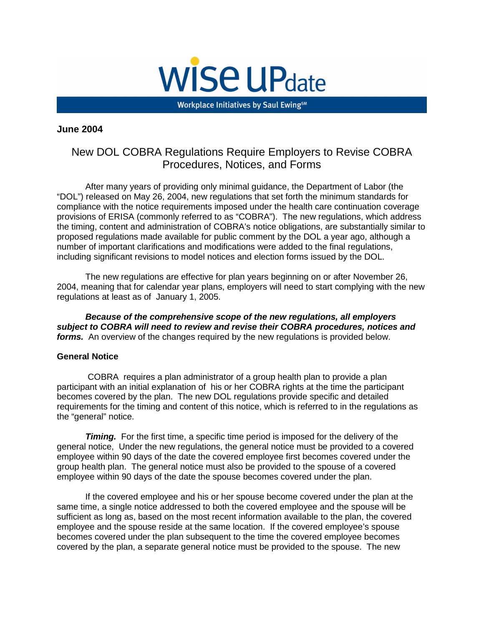

Workplace Initiatives by Saul Ewing<sup>sM</sup>

#### **June 2004**

# New DOL COBRA Regulations Require Employers to Revise COBRA Procedures, Notices, and Forms

After many years of providing only minimal guidance, the Department of Labor (the "DOL") released on May 26, 2004, new regulations that set forth the minimum standards for compliance with the notice requirements imposed under the health care continuation coverage provisions of ERISA (commonly referred to as "COBRA"). The new regulations, which address the timing, content and administration of COBRA's notice obligations, are substantially similar to proposed regulations made available for public comment by the DOL a year ago, although a number of important clarifications and modifications were added to the final regulations, including significant revisions to model notices and election forms issued by the DOL.

The new regulations are effective for plan years beginning on or after November 26, 2004, meaning that for calendar year plans, employers will need to start complying with the new regulations at least as of January 1, 2005.

**Because of the comprehensive scope of the new regulations, all employers subject to COBRA will need to review and revise their COBRA procedures, notices and forms.** An overview of the changes required by the new regulations is provided below.

#### **General Notice**

COBRA requires a plan administrator of a group health plan to provide a plan participant with an initial explanation of his or her COBRA rights at the time the participant becomes covered by the plan. The new DOL regulations provide specific and detailed requirements for the timing and content of this notice, which is referred to in the regulations as the "general" notice.

**Timing.** For the first time, a specific time period is imposed for the delivery of the general notice, Under the new regulations, the general notice must be provided to a covered employee within 90 days of the date the covered employee first becomes covered under the group health plan. The general notice must also be provided to the spouse of a covered employee within 90 days of the date the spouse becomes covered under the plan.

If the covered employee and his or her spouse become covered under the plan at the same time, a single notice addressed to both the covered employee and the spouse will be sufficient as long as, based on the most recent information available to the plan, the covered employee and the spouse reside at the same location. If the covered employee's spouse becomes covered under the plan subsequent to the time the covered employee becomes covered by the plan, a separate general notice must be provided to the spouse. The new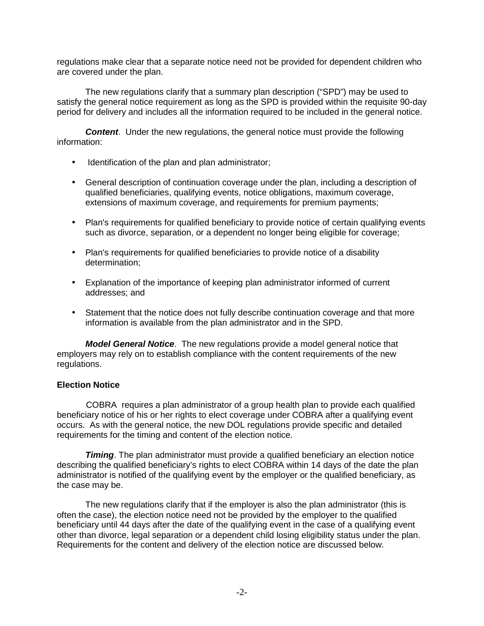regulations make clear that a separate notice need not be provided for dependent children who are covered under the plan.

The new regulations clarify that a summary plan description ("SPD") may be used to satisfy the general notice requirement as long as the SPD is provided within the requisite 90-day period for delivery and includes all the information required to be included in the general notice.

**Content**. Under the new regulations, the general notice must provide the following information:

- Identification of the plan and plan administrator;
- General description of continuation coverage under the plan, including a description of qualified beneficiaries, qualifying events, notice obligations, maximum coverage, extensions of maximum coverage, and requirements for premium payments;
- Plan's requirements for qualified beneficiary to provide notice of certain qualifying events such as divorce, separation, or a dependent no longer being eligible for coverage;
- Plan's requirements for qualified beneficiaries to provide notice of a disability determination;
- Explanation of the importance of keeping plan administrator informed of current addresses; and
- Statement that the notice does not fully describe continuation coverage and that more information is available from the plan administrator and in the SPD.

**Model General Notice**. The new regulations provide a model general notice that employers may rely on to establish compliance with the content requirements of the new regulations.

### **Election Notice**

COBRA requires a plan administrator of a group health plan to provide each qualified beneficiary notice of his or her rights to elect coverage under COBRA after a qualifying event occurs. As with the general notice, the new DOL regulations provide specific and detailed requirements for the timing and content of the election notice.

**Timing**. The plan administrator must provide a qualified beneficiary an election notice describing the qualified beneficiary's rights to elect COBRA within 14 days of the date the plan administrator is notified of the qualifying event by the employer or the qualified beneficiary, as the case may be.

The new regulations clarify that if the employer is also the plan administrator (this is often the case), the election notice need not be provided by the employer to the qualified beneficiary until 44 days after the date of the qualifying event in the case of a qualifying event other than divorce, legal separation or a dependent child losing eligibility status under the plan. Requirements for the content and delivery of the election notice are discussed below.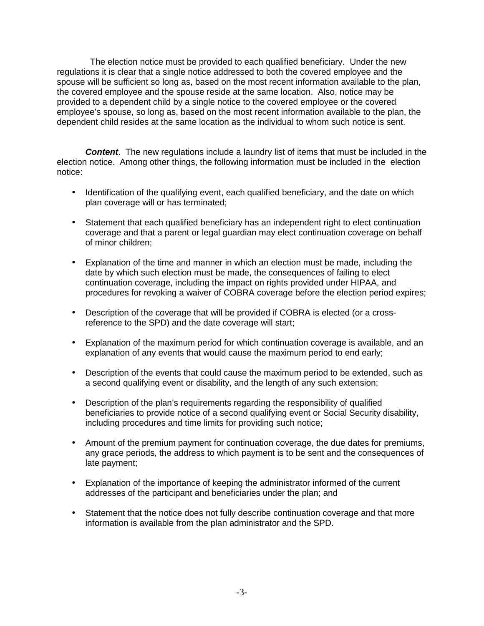The election notice must be provided to each qualified beneficiary. Under the new regulations it is clear that a single notice addressed to both the covered employee and the spouse will be sufficient so long as, based on the most recent information available to the plan, the covered employee and the spouse reside at the same location. Also, notice may be provided to a dependent child by a single notice to the covered employee or the covered employee's spouse, so long as, based on the most recent information available to the plan, the dependent child resides at the same location as the individual to whom such notice is sent.

**Content**. The new regulations include a laundry list of items that must be included in the election notice. Among other things, the following information must be included in the election notice:

- Identification of the qualifying event, each qualified beneficiary, and the date on which plan coverage will or has terminated;
- Statement that each qualified beneficiary has an independent right to elect continuation coverage and that a parent or legal guardian may elect continuation coverage on behalf of minor children;
- Explanation of the time and manner in which an election must be made, including the date by which such election must be made, the consequences of failing to elect continuation coverage, including the impact on rights provided under HIPAA, and procedures for revoking a waiver of COBRA coverage before the election period expires;
- Description of the coverage that will be provided if COBRA is elected (or a crossreference to the SPD) and the date coverage will start;
- Explanation of the maximum period for which continuation coverage is available, and an explanation of any events that would cause the maximum period to end early;
- Description of the events that could cause the maximum period to be extended, such as a second qualifying event or disability, and the length of any such extension;
- Description of the plan's requirements regarding the responsibility of qualified beneficiaries to provide notice of a second qualifying event or Social Security disability, including procedures and time limits for providing such notice;
- Amount of the premium payment for continuation coverage, the due dates for premiums, any grace periods, the address to which payment is to be sent and the consequences of late payment;
- Explanation of the importance of keeping the administrator informed of the current addresses of the participant and beneficiaries under the plan; and
- Statement that the notice does not fully describe continuation coverage and that more information is available from the plan administrator and the SPD.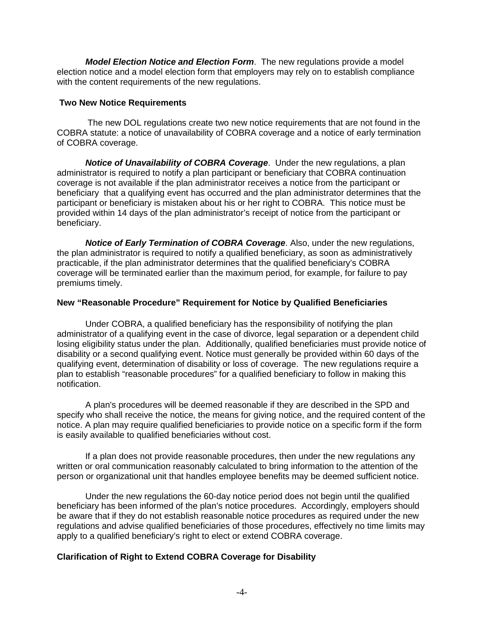**Model Election Notice and Election Form**. The new regulations provide a model election notice and a model election form that employers may rely on to establish compliance with the content requirements of the new regulations.

#### **Two New Notice Requirements**

The new DOL regulations create two new notice requirements that are not found in the COBRA statute: a notice of unavailability of COBRA coverage and a notice of early termination of COBRA coverage.

**Notice of Unavailability of COBRA Coverage**. Under the new regulations, a plan administrator is required to notify a plan participant or beneficiary that COBRA continuation coverage is not available if the plan administrator receives a notice from the participant or beneficiary that a qualifying event has occurred and the plan administrator determines that the participant or beneficiary is mistaken about his or her right to COBRA. This notice must be provided within 14 days of the plan administrator's receipt of notice from the participant or beneficiary.

**Notice of Early Termination of COBRA Coverage**. Also, under the new regulations, the plan administrator is required to notify a qualified beneficiary, as soon as administratively practicable, if the plan administrator determines that the qualified beneficiary's COBRA coverage will be terminated earlier than the maximum period, for example, for failure to pay premiums timely.

### **New "Reasonable Procedure" Requirement for Notice by Qualified Beneficiaries**

Under COBRA, a qualified beneficiary has the responsibility of notifying the plan administrator of a qualifying event in the case of divorce, legal separation or a dependent child losing eligibility status under the plan. Additionally, qualified beneficiaries must provide notice of disability or a second qualifying event. Notice must generally be provided within 60 days of the qualifying event, determination of disability or loss of coverage. The new regulations require a plan to establish "reasonable procedures" for a qualified beneficiary to follow in making this notification.

A plan's procedures will be deemed reasonable if they are described in the SPD and specify who shall receive the notice, the means for giving notice, and the required content of the notice. A plan may require qualified beneficiaries to provide notice on a specific form if the form is easily available to qualified beneficiaries without cost.

If a plan does not provide reasonable procedures, then under the new regulations any written or oral communication reasonably calculated to bring information to the attention of the person or organizational unit that handles employee benefits may be deemed sufficient notice.

Under the new regulations the 60-day notice period does not begin until the qualified beneficiary has been informed of the plan's notice procedures. Accordingly, employers should be aware that if they do not establish reasonable notice procedures as required under the new regulations and advise qualified beneficiaries of those procedures, effectively no time limits may apply to a qualified beneficiary's right to elect or extend COBRA coverage.

## **Clarification of Right to Extend COBRA Coverage for Disability**